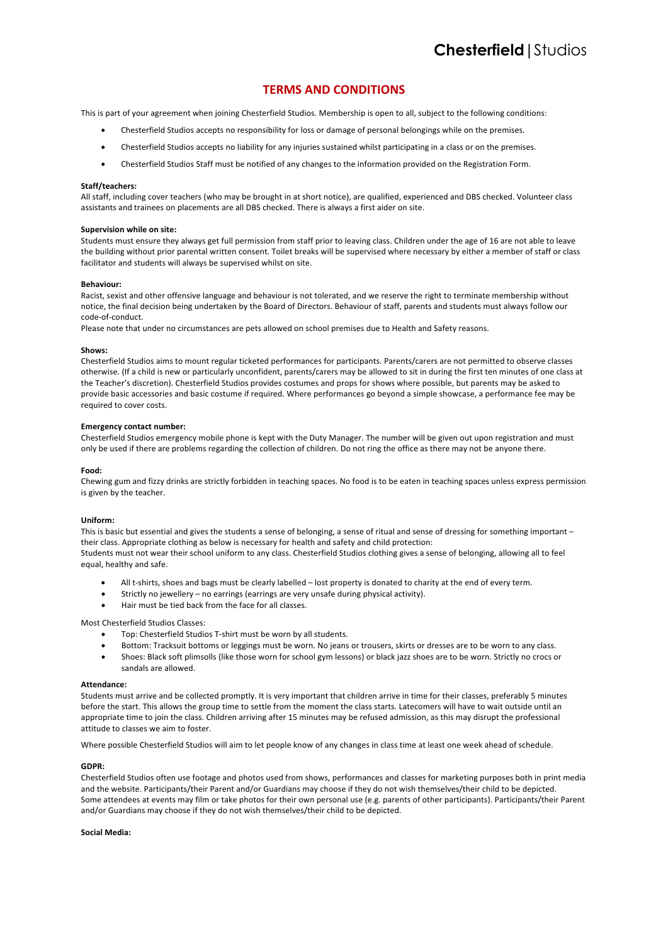# **TERMS AND CONDITIONS**

This is part of your agreement when joining Chesterfield Studios. Membership is open to all, subject to the following conditions:

- Chesterfield Studios accepts no responsibility for loss or damage of personal belongings while on the premises.
- Chesterfield Studios accepts no liability for any injuries sustained whilst participating in a class or on the premises.
- Chesterfield Studios Staff must be notified of any changes to the information provided on the Registration Form.

# **Staff/teachers:**

All staff, including cover teachers (who may be brought in at short notice), are qualified, experienced and DBS checked. Volunteer class assistants and trainees on placements are all DBS checked. There is always a first aider on site.

# **Supervision while on site:**

Students must ensure they always get full permission from staff prior to leaving class. Children under the age of 16 are not able to leave the building without prior parental written consent. Toilet breaks will be supervised where necessary by either a member of staff or class facilitator and students will always be supervised whilst on site.

## **Behaviour:**

Racist, sexist and other offensive language and behaviour is not tolerated, and we reserve the right to terminate membership without notice, the final decision being undertaken by the Board of Directors. Behaviour of staff, parents and students must always follow our code-of-conduct.

Please note that under no circumstances are pets allowed on school premises due to Health and Safety reasons.

## **Shows:**

Chesterfield Studios aims to mount regular ticketed performances for participants. Parents/carers are not permitted to observe classes otherwise. (If a child is new or particularly unconfident, parents/carers may be allowed to sit in during the first ten minutes of one class at the Teacher's discretion). Chesterfield Studios provides costumes and props for shows where possible, but parents may be asked to provide basic accessories and basic costume if required. Where performances go beyond a simple showcase, a performance fee may be required to cover costs.

## **Emergency contact number:**

Chesterfield Studios emergency mobile phone is kept with the Duty Manager. The number will be given out upon registration and must only be used if there are problems regarding the collection of children. Do not ring the office as there may not be anyone there.

# **Food:**

Chewing gum and fizzy drinks are strictly forbidden in teaching spaces. No food is to be eaten in teaching spaces unless express permission is given by the teacher.

## **Uniform:**

This is basic but essential and gives the students a sense of belonging, a sense of ritual and sense of dressing for something important their class. Appropriate clothing as below is necessary for health and safety and child protection: Students must not wear their school uniform to any class. Chesterfield Studios clothing gives a sense of belonging, allowing all to feel equal, healthy and safe.

- All t-shirts, shoes and bags must be clearly labelled lost property is donated to charity at the end of every term.
- Strictly no jewellery no earrings (earrings are very unsafe during physical activity).
- Hair must be tied back from the face for all classes.

# Most Chesterfield Studios Classes:

- Top: Chesterfield Studios T-shirt must be worn by all students.
- Bottom: Tracksuit bottoms or leggings must be worn. No jeans or trousers, skirts or dresses are to be worn to any class.
- Shoes: Black soft plimsolls (like those worn for school gym lessons) or black jazz shoes are to be worn. Strictly no crocs or sandals are allowed.

## **Attendance:**

Students must arrive and be collected promptly. It is very important that children arrive in time for their classes, preferably 5 minutes before the start. This allows the group time to settle from the moment the class starts. Latecomers will have to wait outside until an appropriate time to join the class. Children arriving after 15 minutes may be refused admission, as this may disrupt the professional attitude to classes we aim to foster.

Where possible Chesterfield Studios will aim to let people know of any changes in class time at least one week ahead of schedule.

# **GDPR:**

Chesterfield Studios often use footage and photos used from shows, performances and classes for marketing purposes both in print media and the website. Participants/their Parent and/or Guardians may choose if they do not wish themselves/their child to be depicted. Some attendees at events may film or take photos for their own personal use (e.g. parents of other participants). Participants/their Parent and/or Guardians may choose if they do not wish themselves/their child to be depicted.

# **Social Media:**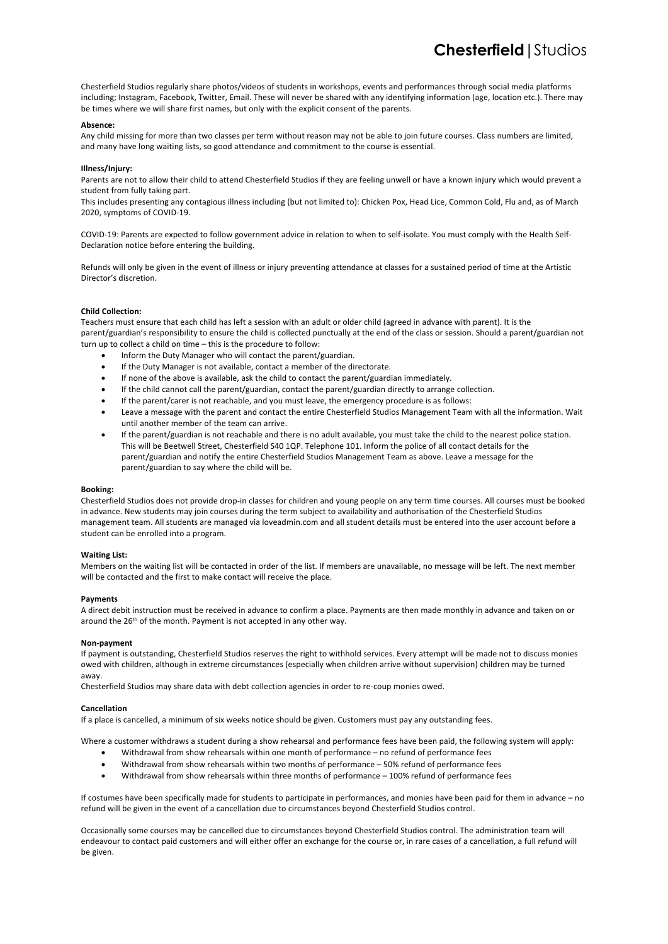Chesterfield Studios regularly share photos/videos of students in workshops, events and performances through social media platforms including; Instagram, Facebook, Twitter, Email. These will never be shared with any identifying information (age, location etc.). There may be times where we will share first names, but only with the explicit consent of the parents.

# **Absence:**

Any child missing for more than two classes per term without reason may not be able to join future courses. Class numbers are limited, and many have long waiting lists, so good attendance and commitment to the course is essential.

# **Illness/Injury:**

Parents are not to allow their child to attend Chesterfield Studios if they are feeling unwell or have a known injury which would prevent a student from fully taking part.

This includes presenting any contagious illness including (but not limited to): Chicken Pox, Head Lice, Common Cold, Flu and, as of March 2020, symptoms of COVID-19.

COVID-19: Parents are expected to follow government advice in relation to when to self-isolate. You must comply with the Health Self-Declaration notice before entering the building.

Refunds will only be given in the event of illness or injury preventing attendance at classes for a sustained period of time at the Artistic Director's discretion.

# **Child Collection:**

Teachers must ensure that each child has left a session with an adult or older child (agreed in advance with parent). It is the parent/guardian's responsibility to ensure the child is collected punctually at the end of the class or session. Should a parent/guardian not turn up to collect a child on time – this is the procedure to follow:

- Inform the Duty Manager who will contact the parent/guardian.
- If the Duty Manager is not available, contact a member of the directorate.
- If none of the above is available, ask the child to contact the parent/guardian immediately.
- If the child cannot call the parent/guardian, contact the parent/guardian directly to arrange collection.
- If the parent/carer is not reachable, and you must leave, the emergency procedure is as follows:
- Leave a message with the parent and contact the entire Chesterfield Studios Management Team with all the information. Wait until another member of the team can arrive.
- If the parent/guardian is not reachable and there is no adult available, you must take the child to the nearest police station. This will be Beetwell Street, Chesterfield S40 1QP. Telephone 101. Inform the police of all contact details for the parent/guardian and notify the entire Chesterfield Studios Management Team as above. Leave a message for the parent/guardian to say where the child will be.

## **Booking:**

Chesterfield Studios does not provide drop-in classes for children and young people on any term time courses. All courses must be booked in advance. New students may join courses during the term subject to availability and authorisation of the Chesterfield Studios management team. All students are managed via loveadmin.com and all student details must be entered into the user account before a student can be enrolled into a program.

## **Waiting List:**

Members on the waiting list will be contacted in order of the list. If members are unavailable, no message will be left. The next member will be contacted and the first to make contact will receive the place.

# **Payments**

A direct debit instruction must be received in advance to confirm a place. Payments are then made monthly in advance and taken on or around the 26<sup>th</sup> of the month. Payment is not accepted in any other way.

## **Non-payment**

If payment is outstanding, Chesterfield Studios reserves the right to withhold services. Every attempt will be made not to discuss monies owed with children, although in extreme circumstances (especially when children arrive without supervision) children may be turned away.

Chesterfield Studios may share data with debt collection agencies in order to re-coup monies owed.

## **Cancellation**

If a place is cancelled, a minimum of six weeks notice should be given. Customers must pay any outstanding fees.

Where a customer withdraws a student during a show rehearsal and performance fees have been paid, the following system will apply:

- Withdrawal from show rehearsals within one month of performance no refund of performance fees
- Withdrawal from show rehearsals within two months of performance 50% refund of performance fees
- Withdrawal from show rehearsals within three months of performance 100% refund of performance fees

If costumes have been specifically made for students to participate in performances, and monies have been paid for them in advance – no refund will be given in the event of a cancellation due to circumstances beyond Chesterfield Studios control.

Occasionally some courses may be cancelled due to circumstances beyond Chesterfield Studios control. The administration team will endeavour to contact paid customers and will either offer an exchange for the course or, in rare cases of a cancellation, a full refund will be given.